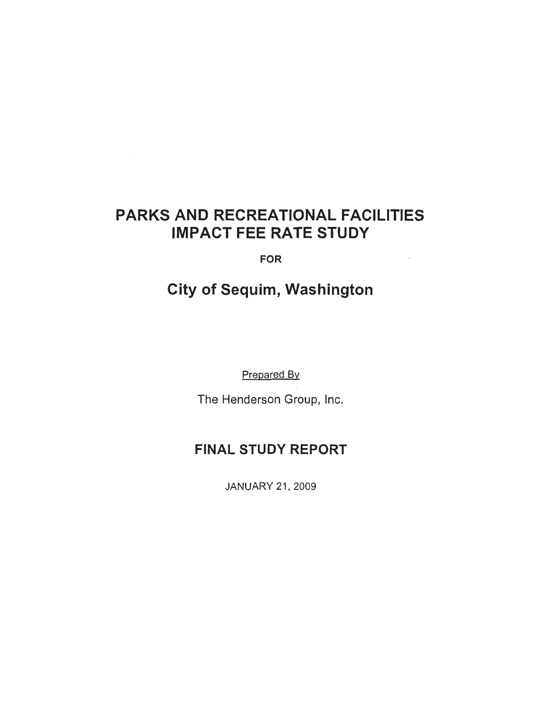# PARKS AND RECREATIONAL FACILITIES IMPACT FEE RATE STUDY

FOR

 $\bar{z}$ 

# City of Sequim, Washington

Prepared By

The Henderson Group, Inc.

## FINAL STUDY REPORT

JANUARY 21, 2009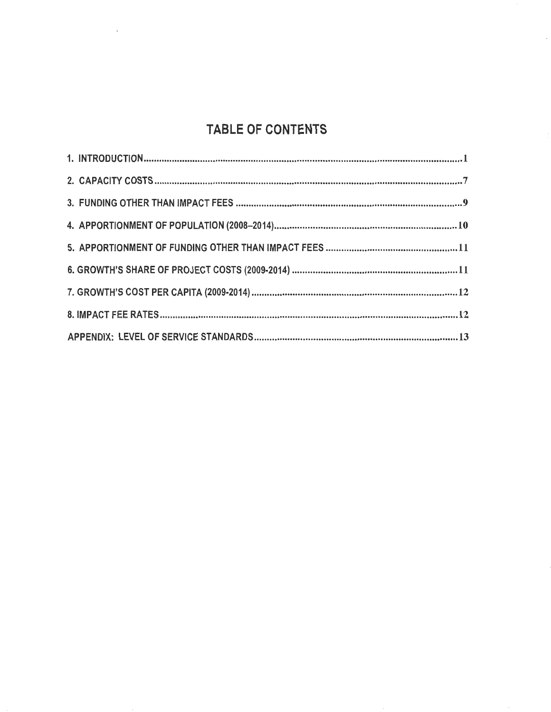# TABLE OF CONTENTS

 $\bar{\lambda}$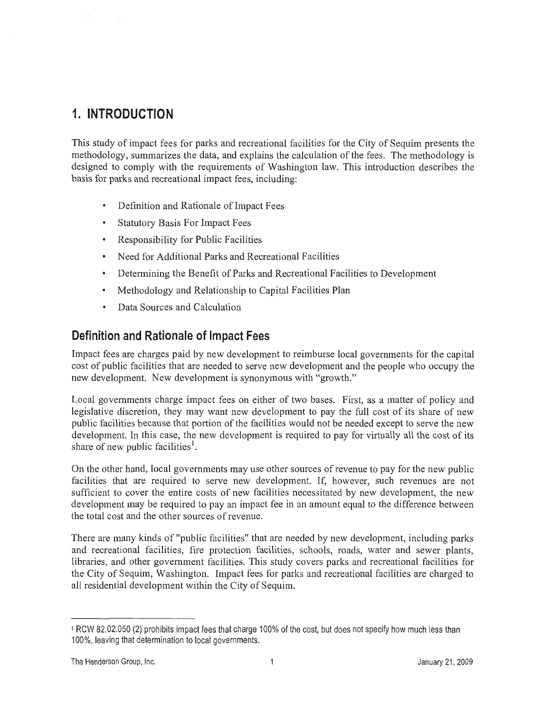## **1. INTRODUCTION**

This study of impact fees for parks and recreational facilities for the City of Sequim presents the methodology, summarizes the data, and explains the calculation of the fees. The methodology is designed to comply with the requirements of Washington law. This introduction describes the basis for parks and recreational impact fees, including:

- Definition and Rationale of Impact Fees
- Statutory Basis For Impact Fees  $\bullet$
- Responsibility for Public Facilities
- $\bullet$ Need for Additional Parks and Recreational Facilities
- Determining the Benefit of Parks and Recreational Facilities to Development  $\bullet$
- Methodology and Relationship to Capital Facilities Plan
- Data Sources and Calculation

## **Definition and Rationale of Impact Fees**

Impact fees are charges paid by new development to reimburse local governments for the capital cost of public facilities that are needed to serve new development and the people who occupy the new development. New development is synonymous with "growth."

Local governments charge impact fees on either of two bases. First, as a matter of policy and legislative discretion, they may want new development to pay the full cost of its share of new public facilities because that portion of the facilities would not be needed except to serve the new development. In this case, the new development is required to pay for virtually all the cost of its share of new public facilities<sup>1</sup>.

On the other hand, local governments may use other sources of revenue to pay for the new public facilities that are required to serve new development. If, however, such revenues are not sufficient to cover the entire costs of new facilities necessitated by new development, the new development may be required to pay an impact fee in an amount equal to the difference between the total cost and the other sources of revenue.

There are many kinds of "public facilities" that are needed by new development, including parks and recreational facilities, fire protection facilities, schools, roads, water and sewer plants, libraries, and other government facilities. This study covers parks and recreational facilities for the City of Sequim, Washington. Impact fees for parks and recreational facilities are charged to all residential development within the City of Sequim.

<sup>1</sup>RCW 82.02.050 (2) prohibits impact fees that charge 100% of the cost, but does not specify how much less than 100%, leaving that determination to local governments.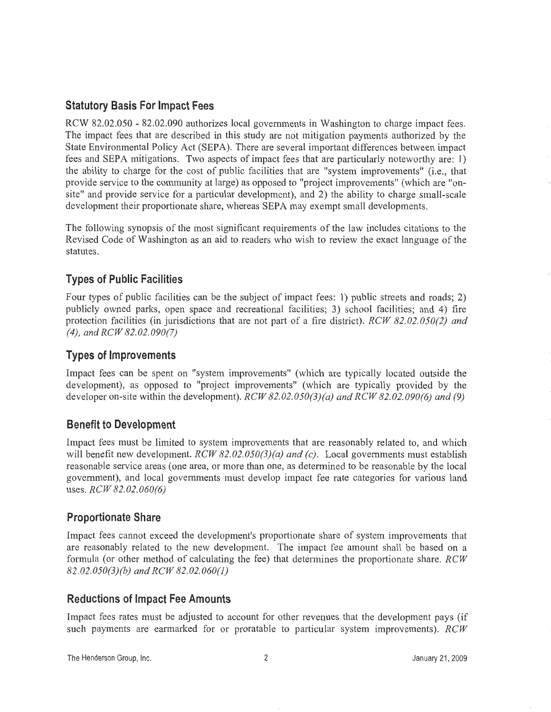## **Statutory Basis For Impact Fees**

RCW 82.02.050 - 82.02.090 authorizes local governments in Washington to charge impact fees. The impact fees that are described in this study are not mitigation payments authorized by the State Environmental Policy Act (SEPA). There are several important differences between impact fees and SEPA mitigations. Two aspects of impact fees that are particularly noteworthy are: 1) the ability to charge for the cost of public facilities that are "system improvements" (i.e., that provide service to the community at large) as opposed to "project improvements" (which are "onsite" and provide service for a particular development), and 2) the ability to charge small-scale development their proportionate share, whereas SEPA may exempt small developments.

The following synopsis of the most significant requirements of the law includes citations to the Revised Code of Washington as an aid to readers who wish to review the exact language of the statutes.

## **Types of Public Facilities**

Four types of public facilities can be the subject of impact fees: 1) public streets and roads; 2) publicly owned parks, open space and recreational facilities; 3) school facilities; and 4) fire protection facilities (in jurisdictions that are not part of a fire district). *RCW 82. 02. 050(2) and (4), and RCW 82.02.090(7)* 

### **Types of Improvements**

Impact fees can be spent on "system improvements" (which are typically located outside the development), as opposed to "project improvements" (which are typically provided by the developer on-site within the development). *RCW 82.02.050(3)(a) and RCW 82.02.090(6) and (9)* 

## **Benefit to Development**

Impact fees must be limited to system improvements that are reasonably related to, and which will benefit new development. *RCW 82.02.050(3)(a) and (c)*. Local governments must establish reasonable service areas (one area, or more than one, as determined to be reasonable by the local government), and local governments must develop impact fee rate categories for various land uses. *RCW 82.02.060(6)* 

### **Proportionate Share**

Impact fees cannot exceed the development's proportionate share of system improvements that are reasonably related to the new development. The impact fee amount shall be based on a formula (or other method of calculating the fee) that determines the proportionate share. *RCW 82.02.050(3)(b) and RCW 82.02.060(1)* 

### **Reductions of Impact Fee Amounts**

Impact fees rates must be adjusted to account for other revenues that the development pays (if such payments are earmarked for or proratable to particular system improvements). *RCW* 

The Henderson Group, Inc. 2 January 21, 2009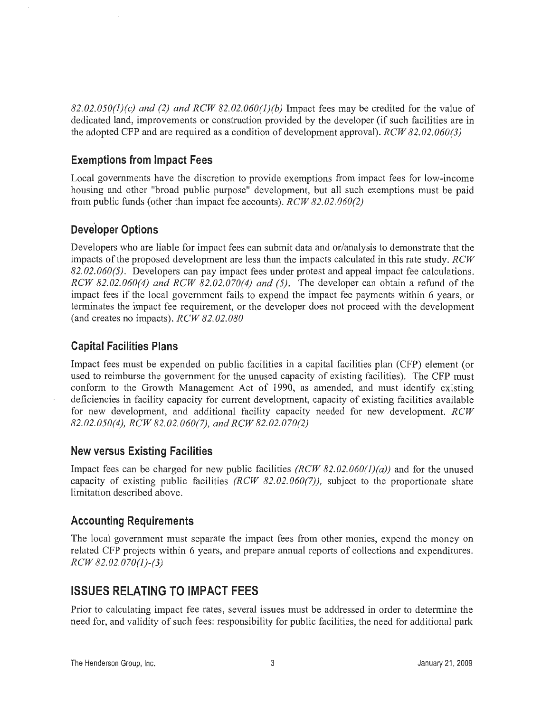*82.02.050(1)(c) and (2) and RCW 82.02.060(J)(b)* Impact fees may be credited for the value of dedicated land, improvements or construction provided by the developer (if such facilities are in the adopted CFP and are required as a condition of development approval). *RCW 82.02.060(3)* 

## **Exemptions from Impact Fees**

Local governments have the discretion to provide exemptions from impact fees for low-income housing and other "broad public purpose" development, but all such exemptions must be paid from public funds (other than impact fee accounts). *RCW 82.02.060(2)* 

## **Developer Options**

Developers who are liable for impact fees can submit data and or/analysis to demonstrate that the impacts of the proposed development are less than the impacts calculated in this rate study. *RCW 82.02.060(5).* Developers can pay impact fees under protest and appeal impact fee calculations. *RCW 82.02.060(4) and RCW 82.02.070(4) and (5) .* The developer can obtain a refund of the impact fees if the local government fails to expend the impact fee payments within 6 years, or terminates the impact fee requirement, or the developer does not proceed with the development (and creates no impacts). *RCW 82.02.080* 

## **Capital Facilities Plans**

Impact fees must be expended on public facilities in a capital facilities plan (CFP) element (or used to reimburse the government for the unused capacity of existing facilities). The CFP must conform to the Growth Management Act of 1990, as amended, and must identify existing deficiencies in facility capacity for current development, capacity of existing facilities available for new development, and additional facility capacity needed for new development. *RCW 82.02.050(4), RCW 82.02.060(7), and RCW 82.02.070(2)* 

### **New versus Existing Facilities**

Impact fees can be charged for new public facilities *(RCW 82.02.060(1)(a))* and for the unused capacity of existing public facilities *(RCW 82. 02. 060(7)),* subject to the proportionate share limitation described above.

## **Accounting Requirements**

The local government must separate the impact fees from other monies, expend the money on related CFP projects within 6 years, and prepare annual reports of collections and expenditures. *RCW 82.02.070(1)-(3)* 

## **ISSUES RELATING TO IMPACT FEES**

Prior to calculating impact fee rates, several issues must be addressed in order to determine the need for, and validity of such fees: responsibility for public facilities, the need for additional park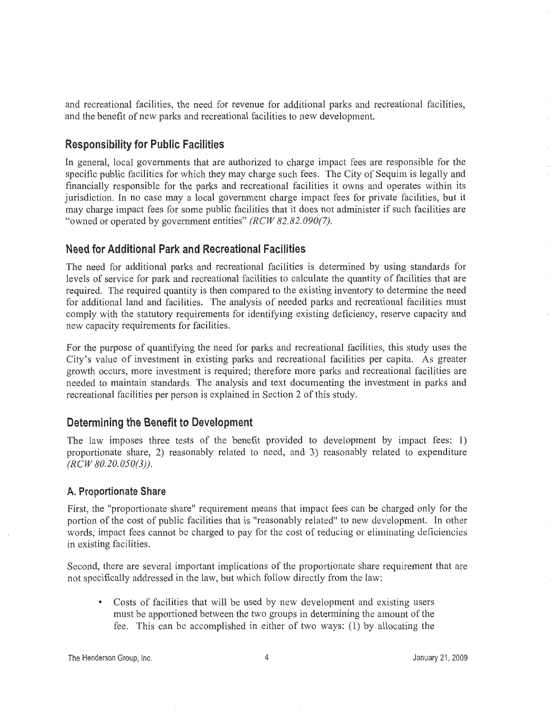and recreational facilities, the need for revenue for additional parks and recreational facilities, and the benefit of new parks and recreational facilities to new development.

#### **Responsibility for Public Facilities**

In general, local governments that are authorized to charge impact fees are responsible for the specific public facilities for which they may charge such fees. The City of Sequim is legally and financially responsible for the parks and recreational facilities it owns and operates within its jurisdiction. In no case may a local government charge impact fees for private facilities, but it may charge impact fees for some public facilities that it does not administer if such facilities are "owned or operated by government entities" *(RCW 82.82.090(7).* ·

#### **Need for Additional Park and Recreational Facilities**

The need for additional parks and recreational facilities is determined by using standards for levels of service for park and recreational facilities to calculate the quantity of facilities that are required. The required quantity is then compared to the existing inventory to determine the need for additional land and facilities. The analysis of needed parks and recreational facilities must comply with the statutory requirements for identifying existing deficiency, reserve capacity and new capacity requirements for facilities.

For the purpose of quantifying the need for parks and recreational facilities, this study uses the City's value of investment in existing parks and recreational facilities per capita. As greater growth occurs, more investment is required; therefore more parks and recreational facilities are needed to maintain standards. The analysis and text documenting the investment in parks and recreational facilities per person is explained in Section 2 of this study.

#### **Determining the Benefit to Development**

The law imposes three tests of the benefit provided to development by impact fees: 1) proportionate share, 2) reasonably related to need, and 3) reasonably related to expenditure *(RCW 80.20.050(3)).* 

#### **A. Proportionate Share**

First, the "proportionate share" requirement means that impact fees can be charged only for the portion of the cost of public facilities that is "reasonably related" to new development. In other words, impact fees cannot be charged to pay for the cost of reducing or eliminating deficiencies in existing facilities.

Second, there are several important implications of the proportionate share requirement that are not specifically addressed in the law, but which follow directly from the law:

• Costs of facilities that will be used by new development and existing users must be apportioned between the two groups in determining the amount of the fee. This can be accomplished in either of two ways: (1) by allocating the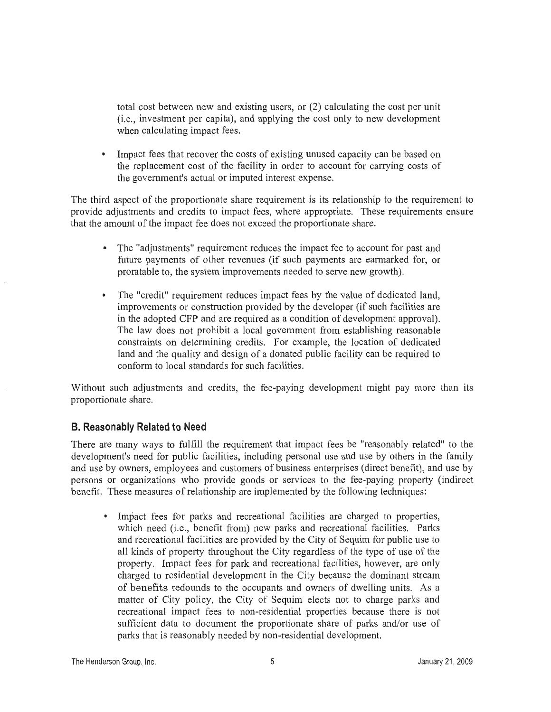total cost between new and existing users, or (2) calculating the cost per unit (i.e., investment per capita), and applying the cost only to new development when calculating impact fees.

Impact fees that recover the costs of existing unused capacity can be based on the replacement cost of the facility in order to account for carrying costs of the government's actual or imputed interest expense.

The third aspect of the proportionate share requirement is its relationship to the requirement to provide adjustments and credits to impact fees, where appropriate. These requirements ensure that the amount of the impact fee does not exceed the proportionate share.

- The "adjustments" requirement reduces the impact fee to account for past and future payments of other revenues (if such payments are earmarked for, or proratable to, the system improvements needed to serve new growth).
- The "credit" requirement reduces impact fees by the value of dedicated land, improvements or construction provided by the developer (if such facilities are in the adopted CFP and are required as a condition of development approval). The law does not prohibit a local government from establishing reasonable constraints on determining credits. For example, the location of dedicated land and the quality and design of a donated public facility can be required to conform to local standards for such facilities.

Without such adjustments and credits, the fee-paying development might pay more than its proportionate share.

#### **B. Reasonably Related to Need**

There are many ways to fulfill the requirement that impact fees be "reasonably related" to the development's need for public facilities, including personal use and use by others in the family and use by owners, employees and customers of business enterprises (direct benefit), and use by persons or organizations who provide goods or services to the fee-paying property (indirect benefit. These measures of relationship are implemented by the following techniques:

• Impact fees for parks and recreational facilities are charged to properties, which need (i.e., benefit from) new parks and recreational facilities. Parks and recreational facilities are provided by the City of Sequim for public use to all kinds of property throughout the City regardless of the type of use of the property. Impact fees for park and recreational facilities, however, are only charged to residential development in the City because the dominant stream of benefits redounds to the occupants and owners of dwelling units. As a matter of City policy, the City of Sequim elects not to charge parks and recreational impact fees to non-residential properties because there is not sufficient data to document the proportionate share of parks and/or use of parks that is reasonably needed by non-residential development.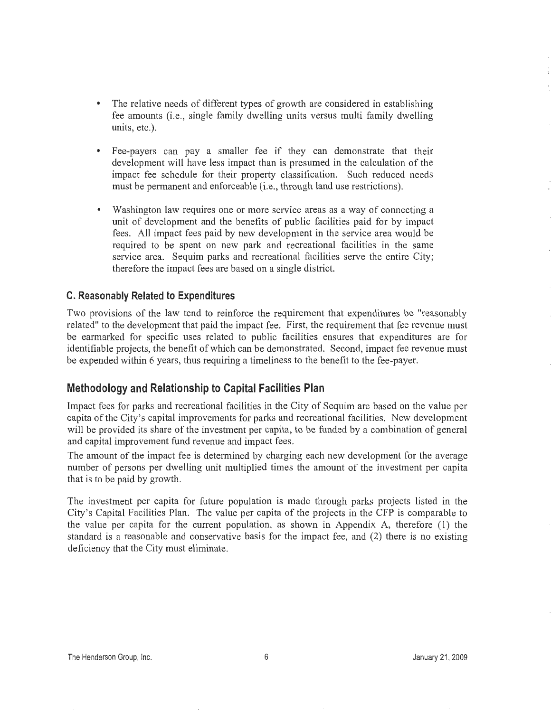- The relative needs of different types of growth are considered in establishing fee amounts (i.e., single family dwelling units versus multi family dwelling units, etc.).
- Fee-payers can pay a smaller fee if they can demonstrate that their development will have less impact than is presumed in the calculation of the impact fee schedule for their property classification. Such reduced needs must be permanent and enforceable (i.e., through land use restrictions).
- Washington law requires one or more service areas as a way of connecting a unit of development and the benefits of public facilities paid for by impact fees. All impact fees paid by new development in the service area would be required to be spent on new park and recreational facilities in the same service area. Sequim parks and recreational facilities serve the entire City; therefore the impact fees are based on a single district.

#### **C. Reasonably Related to Expenditures**

Two provisions of the law tend to reinforce the requirement that expenditures be "reasonably related" to the development that paid the impact fee. First, the requirement that fee revenue must be earmarked for specific uses related to public facilities ensures that expenditures are for identifiable projects, the benefit of which can be demonstrated. Second, impact fee revenue must be expended within 6 years, thus requiring a timeliness to the benefit to the fee-payer.

#### **Methodology and Relationship to Capital Facilities Plan**

Impact fees for parks and recreational facilities in the City of Sequim are based on the value per capita of the City's capital improvements for parks and recreational facilities. New development will be provided its share of the investment per capita, to be funded by a combination of general and capital improvement fund revenue and impact fees.

The amount of the impact fee is determined by charging each new development for the average number of persons per dwelling unit multiplied times the amount of the investment per capita that is to be paid by growth.

The investment per capita for future population is made through parks projects listed in the City's Capital Facilities Plan. The value per capita of the projects in the CFP is comparable to the value per capita for the current population, as shown in Appendix A, therefore  $(1)$  the standard is a reasonable and conservative basis for the impact fee, and (2) there is no existing deficiency that the City must eliminate.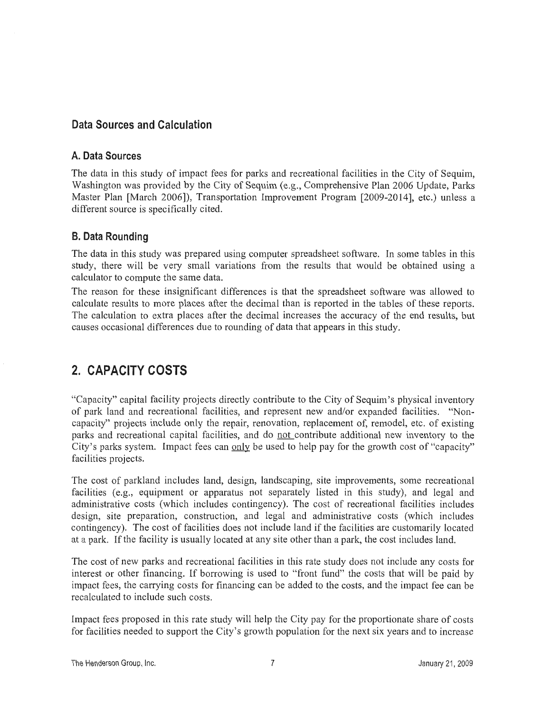### **Data Sources and Calculation**

#### **A. Data Sources**

The data in this study of impact fees for parks and recreational facilities in the City of Sequim, Washington was provided by the City of Sequim (e.g., Comprehensive Plan 2006 Update, Parks Master Plan [March 2006]), Transportation Improvement Program [2009-2014], etc.) unless a different source is specifically cited.

### **8. Data Rounding**

The data in this study was prepared using computer spreadsheet software. In some tables in this study, there will be very small variations from the results that would be obtained using a calculator to compute the same data.

The reason for these insignificant differences is that the spreadsheet software was allowed to calculate results to more places after the decimal than is reported in the tables of these reports. The calculation to extra places after the decimal increases the accuracy of the end results, but causes occasional differences due to rounding of data that appears in this study.

## **2. CAPACITY COSTS**

"Capacity" capital facility projects directly contribute to the City of Sequim's physical inventory of park land and recreational facilities, and represent new and/or expanded facilities. "Noncapacity" projects include only the repair, renovation, replacement of, remodel, etc. of existing parks and recreational capital facilities, and do not contribute additional new inventory to the City's parks system. Impact fees can only be used to help pay for the growth cost of "capacity" facilities projects.

The cost of parkland includes land, design, landscaping, site improvements, some recreational facilities (e.g., equipment or apparatus not separately listed in this study), and legal and administrative costs (which includes contingency). The cost of recreational facilities includes design, site preparation, construction, and legal and administrative costs (which includes contingency). The cost of facilities does not include land if the facilities are customarily located at a park. If the facility is usually located at any site other than a park, the cost includes land.

The cost of new parks and recreational facilities in this rate study does not include any costs for interest or other financing. If borrowing is used to "front fund" the costs that will be paid by impact fees, the carrying costs for financing can be added to the costs, and the impact fee can be recalculated to include such costs.

Impact fees proposed in this rate study will help the City pay for the proportionate share of costs for facilities needed to support the City's growth population for the next six years and to increase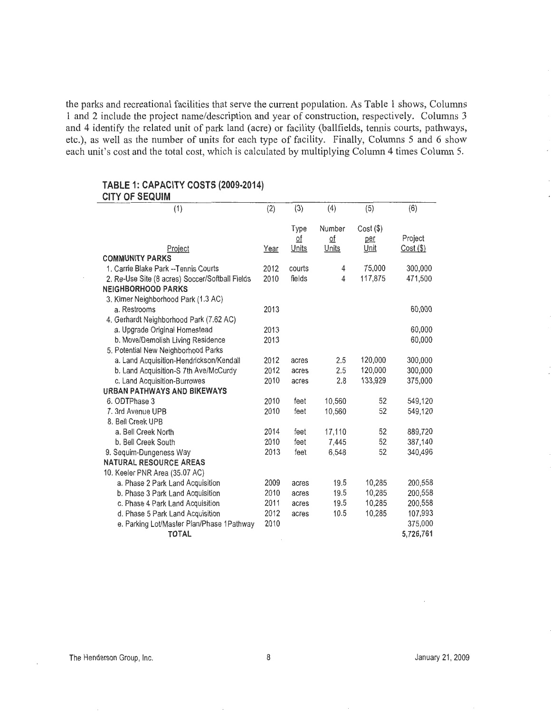the parks and recreational facilities that serve the current population. As Table 1 shows, Columns **1** and 2 include the project name/description and year of construction, respectively. Columns 3 and 4 identify the related unit of park land (acre) or facility (ballfields, tennis courts, pathways, etc.), as well as the number of units for each type of facility. Finally, Columns 5 and 6 show each unit's cost and the total cost, which is calculated by multiplying Column 4 times Column 5.

#### **TABLE 1: CAPACITY COSTS (2009·2014) CITY OF SEQUIM**

| (1)                                             | (2)  | (3)                | (4)                            | (5)         | (6)         |
|-------------------------------------------------|------|--------------------|--------------------------------|-------------|-------------|
|                                                 |      |                    | Number                         |             |             |
|                                                 |      | Type               |                                | $Cost($ \$) | Project     |
| Project                                         | Year | <u>of</u><br>Units | $\underline{\circ f}$<br>Units | per<br>Unit | $Cost($ \$) |
| <b>COMMUNITY PARKS</b>                          |      |                    |                                |             |             |
| 1. Carrie Blake Park -- Tennis Courts           | 2012 | courts             | 4                              | 75,000      | 300,000     |
| 2. Re-Use Site (8 acres) Soccer/Softball Fields | 2010 | fields             | 4                              | 117,875     | 471,500     |
| <b>NEIGHBORHOOD PARKS</b>                       |      |                    |                                |             |             |
| 3. Kirner Neighborhood Park (1.3 AC)            |      |                    |                                |             |             |
| a. Restrooms                                    | 2013 |                    |                                |             | 60,000      |
| 4. Gerhardt Neighborhood Park (7.62 AC)         |      |                    |                                |             |             |
| a. Upgrade Original Homestead                   | 2013 |                    |                                |             | 60,000      |
| b. Move/Demolish Living Residence               | 2013 |                    |                                |             | 60,000      |
| 5. Potential New Neighborhood Parks             |      |                    |                                |             |             |
| a. Land Acquisition-Hendrickson/Kendall         | 2012 | acres              | 2.5                            | 120,000     | 300,000     |
| b. Land Acquisition-S 7th Ave/McCurdy           | 2012 | acres              | 2.5                            | 120,000     | 300,000     |
| c. Land Acquisition-Burrowes                    | 2010 | acres              | 2.8                            | 133,929     | 375,000     |
| URBAN PATHWAYS AND BIKEWAYS                     |      |                    |                                |             |             |
| 6. ODTPhase 3                                   | 2010 | feet               | 10,560                         | 52          | 549,120     |
| 7. 3rd Avenue UPB                               | 2010 | feet               | 10,560                         | 52          | 549,120     |
| 8. Bell Creek UPB                               |      |                    |                                |             |             |
| a. Bell Creek North                             | 2014 | feet               | 17,110                         | 52          | 889,720     |
| b. Bell Creek South                             | 2010 | feet               | 7,445                          | 52          | 387,140     |
| 9. Sequim-Dungeness Way                         | 2013 | feet               | 6,548                          | 52          | 340,496     |
| <b>NATURAL RESOURCE AREAS</b>                   |      |                    |                                |             |             |
| 10. Keeler PNR Area (35.07 AC)                  |      |                    |                                |             |             |
| a. Phase 2 Park Land Acquisition                | 2009 | acres              | 19.5                           | 10,285      | 200,558     |
| b. Phase 3 Park Land Acquisition                | 2010 | acres              | 19.5                           | 10,285      | 200,558     |
| c. Phase 4 Park Land Acquisition                | 2011 | acres              | 19.5                           | 10.285      | 200,558     |
| d. Phase 5 Park Land Acquisition                | 2012 | acres              | 10.5                           | 10,285      | 107,993     |
| e. Parking Lot/Master Plan/Phase 1Pathway       | 2010 |                    |                                |             | 375,000     |
| <b>TOTAL</b>                                    |      |                    |                                |             | 5,726,761   |

i,

 $\bar{z}$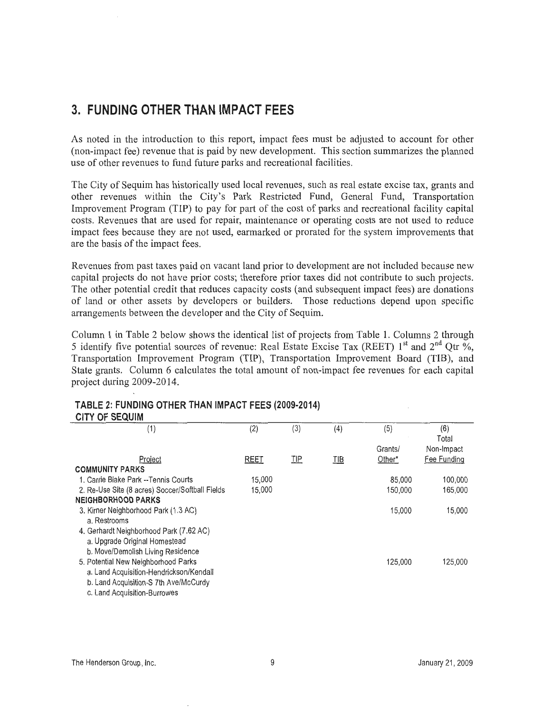## **3. FUNDING OTHER THAN IMPACT FEES**

As noted in the introduction to this report, impact fees must be adjusted to account for other (non-impact fee) revenue that is paid by new development. This section summarizes the planned use of other revenues to fund future parks and recreational facilities.

The City of Sequim has historically used local revenues, such as real estate excise tax, grants and other revenues within the City's Park Restricted Fund, General Fund, Transportation Improvement Program (TIP) to pay for part of the cost of parks and recreational facility capital costs. Revenues that are used for repair, maintenance or operating costs are not used to reduce impact fees because they are not used, earmarked or prorated for the system improvements that are the basis of the impact fees.

Revenues from past taxes paid on vacant land prior to development are not included because new capital projects do not have prior costs; therefore prior taxes did not contribute to such projects. The other potential credit that reduces capacity costs (and subsequent impact fees) are donations of land or other assets by developers or builders. Those reductions depend upon specific arrangements between the developer and the City of Sequim.

Column 1 in Table 2 below shows the identical list of projects from Table 1. Columns 2 through 5 identify five potential sources of revenue: Real Estate Excise Tax (REET)  $1<sup>st</sup>$  and  $2<sup>nd</sup>$  Qtr %, Transportation Improvement Program (TIP), Transportation Improvement Board (TIB), and State grants. Column 6 calculates the total amount of non-impact fee revenues for each capital project during 2009-2014.

| <b>CITY OF SEQUIM</b>                           |             |            |            |         |              |
|-------------------------------------------------|-------------|------------|------------|---------|--------------|
| (1)                                             | (2)         | (3)        | (4)        | (5)     | (6)<br>Total |
|                                                 |             |            |            | Grants/ | Non-Impact   |
| Project                                         | <b>REET</b> | <u>TIP</u> | <u>TIB</u> | Other*  | Fee Funding  |
| <b>COMMUNITY PARKS</b>                          |             |            |            |         |              |
| 1. Carrie Blake Park --Tennis Courts            | 15,000      |            |            | 85,000  | 100,000      |
| 2. Re-Use Site (8 acres) Soccer/Softball Fields | 15,000      |            |            | 150,000 | 165,000      |
| <b>NEIGHBORHOOD PARKS</b>                       |             |            |            |         |              |
| 3. Kirner Neighborhood Park (1.3 AC)            |             |            |            | 15,000  | 15,000       |
| a. Restrooms                                    |             |            |            |         |              |
| 4. Gerhardt Neighborhood Park (7.62 AC)         |             |            |            |         |              |
| a. Upgrade Original Homestead                   |             |            |            |         |              |
| b. Move/Demolish Living Residence               |             |            |            |         |              |
| 5. Potential New Neighborhood Parks             |             |            |            | 125.000 | 125,000      |
| a. Land Acquisition-Hendrickson/Kendall         |             |            |            |         |              |
| b. Land Acquisition-S 7th Ave/McCurdy           |             |            |            |         |              |
| c. Land Acquisition-Burrowes                    |             |            |            |         |              |

## **TABLE 2: FUNDING OTHER THAN IMPACT FEES (2009-2014)**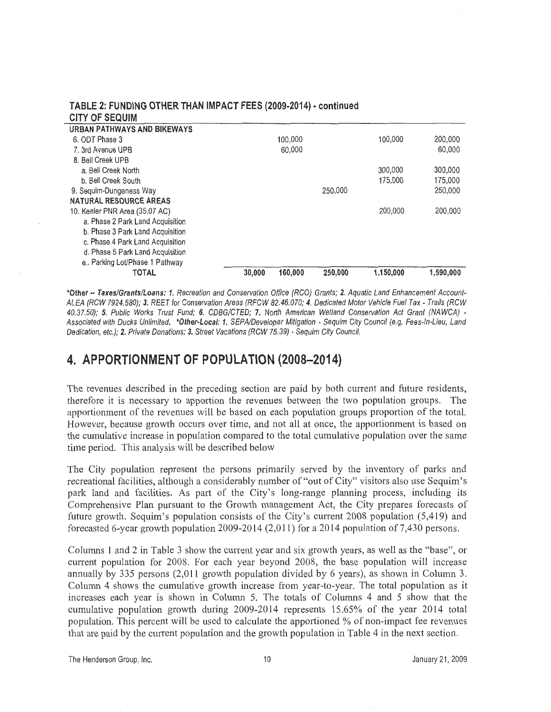| <b>CITY OF SEQUIM</b>              |        |         |         |           |           |
|------------------------------------|--------|---------|---------|-----------|-----------|
| <b>URBAN PATHWAYS AND BIKEWAYS</b> |        |         |         |           |           |
| 6. ODT Phase 3                     |        | 100,000 |         | 100.000   | 200,000   |
| 7. 3rd Avenue UPB                  |        | 60,000  |         |           | 60,000    |
| 8. Bell Creek UPB                  |        |         |         |           |           |
| a. Bell Creek North                |        |         |         | 300,000   | 300,000   |
| b. Bell Creek South                |        |         |         | 175,000   | 175,000   |
| 9. Seguim-Dungeness Way            |        |         | 250,000 |           | 250,000   |
| <b>NATURAL RESOURCE AREAS</b>      |        |         |         |           |           |
| 10. Keeler PNR Area (35.07 AC)     |        |         |         | 200,000   | 200,000   |
| a. Phase 2 Park Land Acquisition   |        |         |         |           |           |
| b. Phase 3 Park Land Acquisition   |        |         |         |           |           |
| c. Phase 4 Park Land Acquisition   |        |         |         |           |           |
| d. Phase 5 Park Land Acquisition   |        |         |         |           |           |
| e Parking Lot/Phase 1 Pathway      |        |         |         |           |           |
| TOTAL                              | 30,000 | 160.000 | 250,000 | 1,150,000 | 1,590,000 |

# **TABLE 2: FUNDING OTHER THAN IMPACT FEES (2009-2014) ·continued**

**\*Other .. Taxes/Grants/Loans: 1.** Recreation and Conservation Office (RCO) Grants; **2.** Aquatic Land Enhancement Account-ALEA (RCW 7924.580); 3. REET for Conservation Areas (RFCW 82.46.070; **4.** Dedicated Motor Vehicle Fuel Tax - Trails (RCW 40.37.50); *5.* Public Works Trust Fund; **6.** CDBG/CTED; *7.* North American Wetland Conservation Act Grant (NAWCA) - Associated with Ducks Unlimited. **\*Other-Local: 1.** SEPA/Developer Mitigation - Sequim City Council (e.g. Fees-In-Lieu, Land Dedication, etc.); **2.** Private Donations; 3. Street Vacations (RCW 75.39) - Sequim City Council.

## **4. APPORTIONMENT OF POPULATION (2008-2014)**

The revenues described in the preceding section are paid by both current and future residents, therefore it is necessary to apportion the revenues between the two population groups. The apportionment of the revenues will be based on each population groups proportion of the total. However, because growth occurs over time, and not all at once, the apportionment is based on the cumulative increase in population compared to the total cumulative population over the same time period. This analysis will be described below

The City population represent the persons primarily served by the inventory of parks and recreational facilities, although a considerably number of "out of City" visitors also use Sequim' s park land and facilities. As part of the City's long-range planning process, including its Comprehensive Plan pursuant to the Growth management Act, the City prepares forecasts of future growth. Sequim's population consists of the City's current 2008 population (5,4 19) and forecasted 6-year growth population 2009-2014 (2,011) for a 2014 population of 7,430 persons.

Columns 1 and 2 in Table 3 show the current year and six growth years, as well as the "base'', or current population for 2008. For each year beyond 2008, the base population will increase annually by 335 persons (2,011 growth population divided by 6 years), as shown in Column 3. Column 4 shows the cumulative growth increase from year-to-year. The total population as it increases each year is shown in Column 5. The totals of Columns 4 and 5 show that the cumulative population growth during 2009-2014 represents 15.65% of the year 2014 total population. This percent will be used to calculate the apportioned % of non-impact fee revenues that are paid by the current population and the growth population in Table 4 in the next section.

The Henderson Group, Inc. 10 January 21, 2009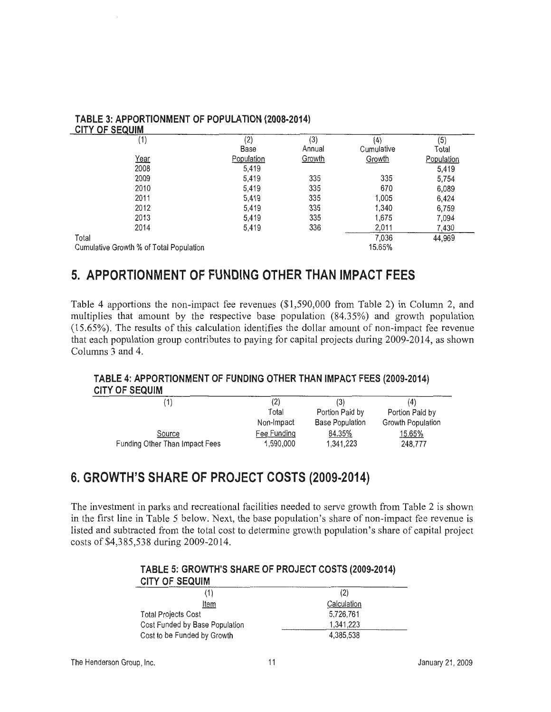| (1)                                     | (2)<br>Base | (3)<br>Annual | (4)<br>Cumulative | (5)<br>Total |
|-----------------------------------------|-------------|---------------|-------------------|--------------|
| Year                                    | Population  | Growth        | Growth            | Population   |
| 2008                                    | 5,419       |               |                   | 5,419        |
| 2009                                    | 5,419       | 335           | 335               | 5,754        |
| 2010                                    | 5,419       | 335           | 670               | 6,089        |
| 2011                                    | 5,419       | 335           | 1,005             | 6.424        |
| 2012                                    | 5,419       | 335           | 1,340             | 6,759        |
| 2013                                    | 5,419       | 335           | 1,675             | 7,094        |
| 2014                                    | 5,419       | 336           | 2,011             | 7,430        |
| Total                                   |             |               | 7,036             | 44,969       |
| Cumulative Growth % of Total Population |             |               | 15.65%            |              |

# **TABLE 3: APPORTIONMENT OF POPULATION (2008-2014)**

## **5. APPORTIONMENT OF FUNDING OTHER THAN IMPACT FEES**

Table 4 apportions the non-impact fee revenues (\$1,590,000 from Table 2) in Column 2, and multiplies that amount by the respective base population (84.35%) and growth population (15.65%). The results of this calculation identifies the dollar amount of non-impact fee revenue that each population group contributes to paying for capital projects during 2009-2014, as shown Columns 3 and 4.

### **TABLE 4: APPORTIONMENT OF FUNDING OTHER THAN IMPACT FEES (2009-2014) CITY OF SEQUIM**

| (1)                            | (2)         | (3)                    | (4)               |
|--------------------------------|-------------|------------------------|-------------------|
|                                | Total       | Portion Paid by        | Portion Paid by   |
|                                | Non-Impact  | <b>Base Population</b> | Growth Population |
| Source                         | Fee Funding | 84.35%                 | 15.65%            |
| Funding Other Than Impact Fees | 1,590,000   | 1,341,223              | 248,777           |
|                                |             |                        |                   |

## **6. GROWTH'S SHARE OF PROJECT COSTS (2009-2014)**

The investment in parks and recreational facilities needed to serve growth from Table 2 is shown in the first line in Table 5 below. Next, the base population's share of non-impact fee revenue is listed and subtracted from the total cost to determine growth population's share of capital project costs of \$4,385,538 during 2009-2014.

#### **TABLE 5: GROWTH'S SHARE OF PROJECT COSTS (2009-2014) CITY OF SEQUIM**

| VIII VI VLWVIII                |             |  |
|--------------------------------|-------------|--|
| '1)                            | (2)         |  |
| Item                           | Calculation |  |
| <b>Total Projects Cost</b>     | 5,726,761   |  |
| Cost Funded by Base Population | 1,341,223   |  |
| Cost to be Funded by Growth    | 4.385.538   |  |
|                                |             |  |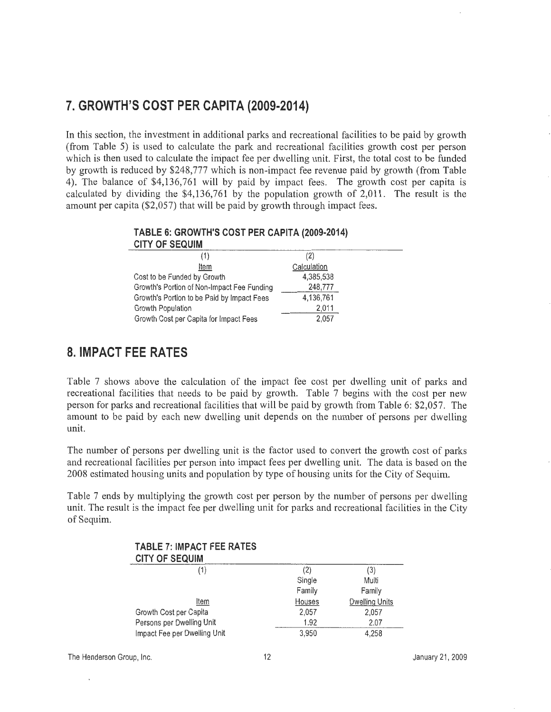## **7. GROWTH'S COST PER CAPITA (2009-2014)**

In this section, the investment in additional parks and recreational facilities to be paid by growth (from Table 5) is used to calculate the park and recreational facilities growth cost per person which is then used to calculate the impact fee per dwelling unit. First, the total cost to be funded by growth is reduced by \$248,777 which is non-impact fee revenue paid by growth (from Table 4). The balance of \$4,136,761 will by paid by impact fees. The growth cost per capita is calculated by dividing the \$4,136,761 by the population growth of 2,011. The result is the amount per capita (\$2,057) that will be paid by growth through impact fees.

| (2)         |  |
|-------------|--|
| Calculation |  |
| 4,385,538   |  |
| 248,777     |  |
| 4,136,761   |  |
| 2,011       |  |
| 2,057       |  |
|             |  |

### **TABLE 6: GROWTH'S COST PER CAPITA (2009-2014)**

## **8. IMPACT FEE RATES**

Table 7 shows above the calculation of the impact fee cost per dwelling unit of parks and recreational facilities that needs to be paid by growth. Table 7 begins with the cost per new person for parks and recreational facilities that will be paid by growth from Table 6: \$2,057. The amount to be paid by each new dwelling unit depends on the number of persons per dwelling unit.

The number of persons per dwelling unit is the factor used to convert the growth cost of parks and recreational facilities per person into impact fees per dwelling unit. The data is based on the 2008 estimated housing units and population by type of housing units for the City of Sequim.

Table 7 ends by multiplying the growth cost per person by the number of persons per dwelling unit. The result is the impact fee per dwelling unit for parks and recreational facilities in the City of Sequim.

| <b>TABLE 7: IMPACT FEE RATES</b><br><b>CITY OF SEQUIM</b> |        |                       |
|-----------------------------------------------------------|--------|-----------------------|
| (1)                                                       | (2)    | (3)                   |
|                                                           | Single | Multi                 |
|                                                           | Family | Family                |
| Item                                                      | Houses | <b>Dwelling Units</b> |
| Growth Cost per Capita                                    | 2,057  | 2,057                 |
| Persons per Dwelling Unit                                 | 1.92   | 2.07                  |
| Impact Fee per Dwelling Unit                              | 3,950  | 4,258                 |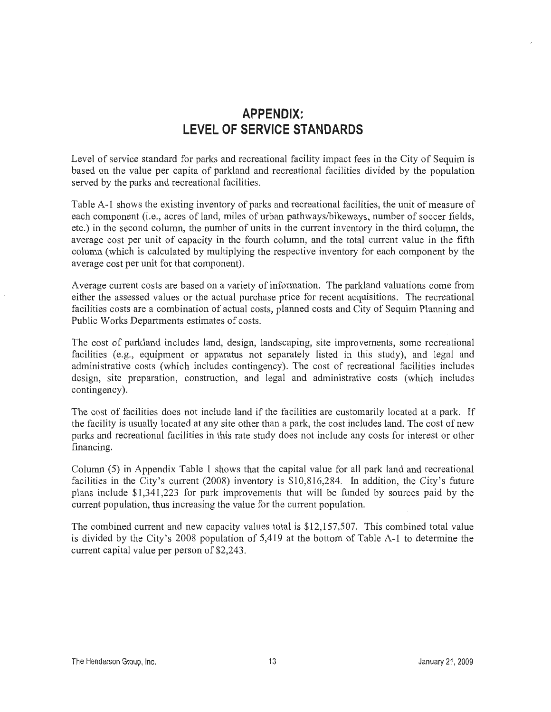## **APPENDIX: LEVEL OF SERVICE STANDARDS**

Level of service standard for parks and recreational facility impact fees in the City of Sequim is based on the value per capita of parkland and recreational facilities divided by the population served by the parks and recreational facilities.

Table A-1 shows the existing inventory of parks and recreational facilities, the unit of measure of each component (i.e., acres of land, miles of urban pathways/bikeways, number of soccer fields, etc.) in the second column, the number of units in the current inventory in the third column, the average cost per unit of capacity in the fourth column, and the total current value in the fifth column (which is calculated by multiplying the respective inventory for each component by the average cost per unit for that component).

Average current costs are based on a variety of information. The parkland valuations come from either the assessed values or the actual purchase price for recent acquisitions. The recreational facilities costs are a combination of actual costs, planned costs and City of Sequim Planning and Public Works Departments estimates of costs.

The cost of parkland includes land, design, landscaping, site improvements, some recreational facilities (e.g., equipment or apparatus not separately listed in this study), and legal and administrative costs (which includes contingency). The cost of recreational facilities includes design, site preparation, construction, and legal and administrative costs (which includes contingency).

The cost of facilities does not include land if the facilities are customarily located at a park. If the facility is usually located at any site other than a park, the cost includes land. The cost of new parks and recreational facilities in this rate study does not include any costs for interest or other financing.

Column (5) in Appendix Table 1 shows that the capital value for all park land and recreational facilities in the City's current (2008) inventory is \$10,816,284. In addition, the City's future plans include \$1,341,223 for park improvements that will be funded by sources paid by the current population, thus increasing the value for the current population.

The combined current and new capacity values total is \$12,157,507. This combined total value is divided by the City's 2008 population of 5,419 at the bottom of Table A-1 to determine the current capital value per person of \$2,243.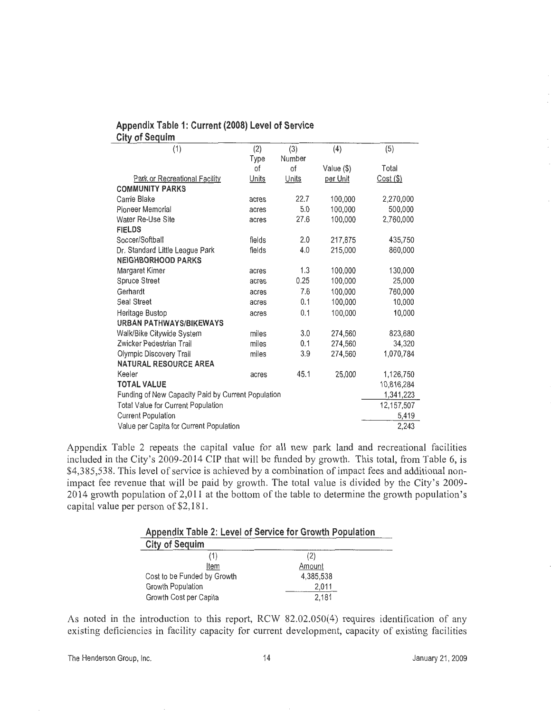| Appendix Table 1: Current (2008) Level of Service |  |  |  |
|---------------------------------------------------|--|--|--|
| City of Sequim                                    |  |  |  |

| (1)                                                | (2)    | (3)    | (4)        | (5)        |
|----------------------------------------------------|--------|--------|------------|------------|
|                                                    | Type   | Number |            |            |
|                                                    | ٥f     | οf     | Value (\$) | Total      |
| Park or Recreational Facility                      | Units  | Units  | per Unit   | Cost (\$)  |
| <b>COMMUNITY PARKS</b>                             |        |        |            |            |
| Carrie Blake                                       | acres  | 22.7   | 100,000    | 2,270,000  |
| Pioneer Memorial                                   | acres  | 5.0    | 100,000    | 500,000    |
| Water Re-Use Site                                  | acres  | 27.6   | 100,000    | 2,760,000  |
| <b>FIELDS</b>                                      |        |        |            |            |
| Soccer/Softball                                    | fields | 2.0    | 217,875    | 435,750    |
| Dr. Standard Little League Park                    | fields | 4.0    | 215,000    | 860,000    |
| <b>NEIGHBORHOOD PARKS</b>                          |        |        |            |            |
| Margaret Kimer                                     | acres  | 1.3    | 100,000    | 130,000    |
| <b>Spruce Street</b>                               | acres  | 0.25   | 100,000    | 25,000     |
| Gerhardt                                           | acres  | 7.6    | 100,000    | 760,000    |
| Seal Street                                        | acres  | 0.1    | 100,000    | 10,000     |
| Heritage Bustop                                    | acres  | 0.1    | 100,000    | 10,000     |
| <b>URBAN PATHWAYS/BIKEWAYS</b>                     |        |        |            |            |
| Walk/Bike Citywide System                          | miles  | 3.0    | 274,560    | 823,680    |
| Zwicker Pedestrian Trail                           | miles  | 0.1    | 274,560    | 34.320     |
| Olympic Discovery Trail                            | miles  | 3.9    | 274,560    | 1,070,784  |
| <b>NATURAL RESOURCE AREA</b>                       |        |        |            |            |
| Keeler                                             | acres  | 45.1   | 25,000     | 1,126,750  |
| <b>TOTAL VALUE</b>                                 |        |        |            | 10,816,284 |
| Funding of New Capacity Paid by Current Population |        |        |            | 1,341,223  |
| Total Value for Current Population                 |        |        |            | 12,157,507 |
| <b>Current Population</b>                          |        |        |            | 5,419      |
| Value per Capita for Current Population            |        |        |            | 2,243      |
|                                                    |        |        |            |            |

Appendix Table 2 repeats the capital value for all new park land and recreational facilities included in the City's 2009-2014 CIP that will be funded by growth. This total, from Table 6, is \$4,385,538. This level of service is achieved by a combination of impact fees and additional nonimpact fee revenue that will be paid by growth. The total value is divided by the City's 2009- 2014 growth population of 2,011 at the bottom of the table to determine the growth population's capital value per person of \$2, 181.

| Appendix Table 2: Level of Service for Growth Population |           |  |  |  |  |
|----------------------------------------------------------|-----------|--|--|--|--|
| <b>City of Sequim</b>                                    |           |  |  |  |  |
|                                                          | (2)       |  |  |  |  |
| Item                                                     | Amount    |  |  |  |  |
| Cost to be Funded by Growth                              | 4.385.538 |  |  |  |  |
| Growth Population                                        | 2.011     |  |  |  |  |
| Growth Cost per Capita                                   | 2.181     |  |  |  |  |

As noted in the introduction to this report, RCW 82.02.050(4) requires identification of any existing deficiencies in facility capacity for current development, capacity of existing facilities

The Henderson Group, Inc. The Henderson Group, Inc. 14 The Henderson Group, Inc.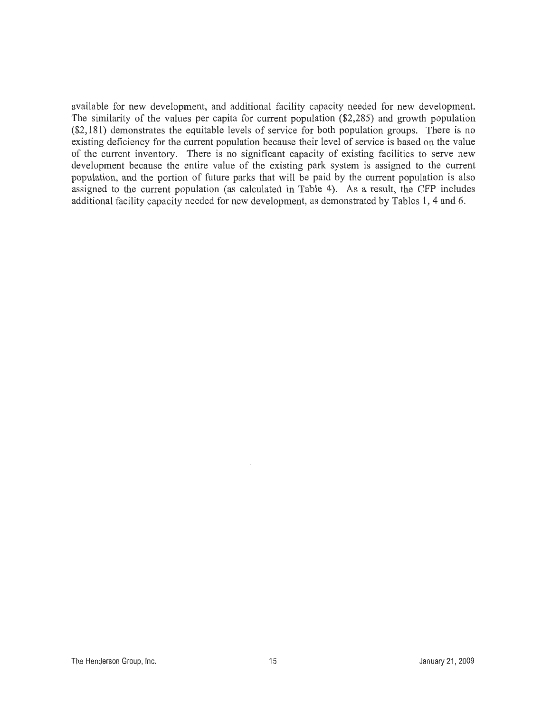available for new development, and additional facility capacity needed for new development. The similarity of the values per capita for current population (\$2,285) and growth population (\$2, **181)** demonstrates the equitable levels of service for both population groups. There is no existing deficiency for the current population because their level of service is based on the value of the current inventory. There is no significant capacity of existing facilities to serve new development because the entire value of the existing park system is assigned to the current population, and the portion of future parks that will be paid by the current population is also assigned to the current population (as calculated in Table 4). As a result, the CFP includes additional facility capacity needed for new development, as demonstrated by Tables **1,** 4 and 6.